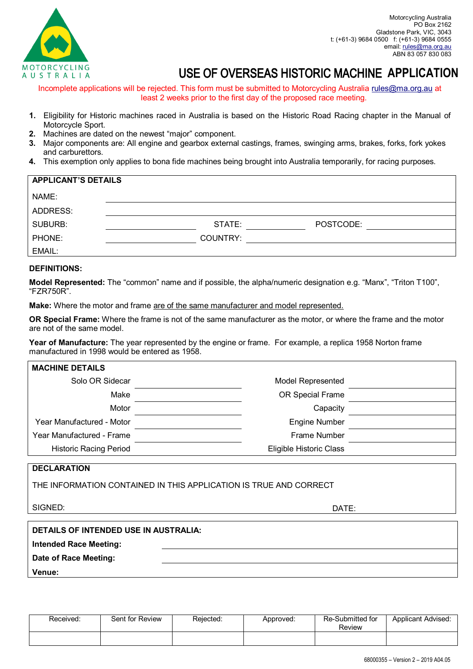

## MOTORCYCLING<br>AU S T R A L I A**ND THAILM CONGREAS HISTORIC MACHINE APPLICATION**

Incomplete applications will be rejected. This form must be submitted to Motorcycling Australia rules@ma.org.au at least 2 weeks prior to the first day of the proposed race meeting.

- **1.** Eligibility for Historic machines raced in Australia is based on the Historic Road Racing chapter in the Manual of Motorcycle Sport.
- **2.** Machines are dated on the newest "major" component.
- **3.** Major components are: All engine and gearbox external castings, frames, swinging arms, brakes, forks, fork yokes and carburettors.
- **4.** This exemption only applies to bona fide machines being brought into Australia temporarily, for racing purposes.

| <b>APPLICANT'S DETAILS</b> |  |          |           |  |
|----------------------------|--|----------|-----------|--|
| NAME:                      |  |          |           |  |
| ADDRESS:                   |  |          |           |  |
| <b>SUBURB:</b>             |  | STATE:   | POSTCODE: |  |
| PHONE:                     |  | COUNTRY: |           |  |
| EMAIL:                     |  |          |           |  |

## **DEFINITIONS:**

**Model Represented:** The "common" name and if possible, the alpha/numeric designation e.g. "Manx", "Triton T100", "FZR750R".

**Make:** Where the motor and frame are of the same manufacturer and model represented.

**OR Special Frame:** Where the frame is not of the same manufacturer as the motor, or where the frame and the motor are not of the same model.

**Year of Manufacture:** The year represented by the engine or frame. For example, a replica 1958 Norton frame manufactured in 1998 would be entered as 1958.

| <b>MACHINE DETAILS</b>        |                          |  |
|-------------------------------|--------------------------|--|
| Solo OR Sidecar               | <b>Model Represented</b> |  |
| Make                          | OR Special Frame         |  |
| Motor                         | Capacity                 |  |
| Year Manufactured - Motor     | <b>Engine Number</b>     |  |
| Year Manufactured - Frame     | <b>Frame Number</b>      |  |
| <b>Historic Racing Period</b> | Eligible Historic Class  |  |

## **DECLARATION**

THE INFORMATION CONTAINED IN THIS APPLICATION IS TRUE AND CORRECT

SIGNED: DATE:

| <b>DETAILS OF INTENDED USE IN AUSTRALIA:</b> |  |  |
|----------------------------------------------|--|--|
| <b>Intended Race Meeting:</b>                |  |  |
| Date of Race Meeting:                        |  |  |
| Venue:                                       |  |  |

| Received: | Sent for Review | Reiected: | Approved: | Re-Submitted for<br>Review | <b>Applicant Advised:</b> |
|-----------|-----------------|-----------|-----------|----------------------------|---------------------------|
|           |                 |           |           |                            |                           |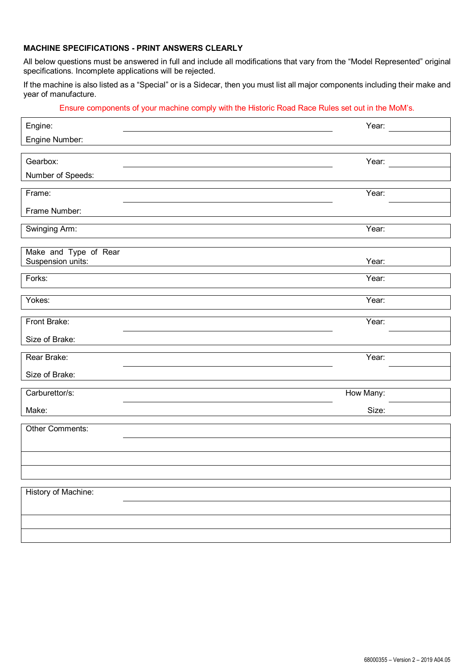## **MACHINE SPECIFICATIONS - PRINT ANSWERS CLEARLY**

All below questions must be answered in full and include all modifications that vary from the "Model Represented" original specifications. Incomplete applications will be rejected.

If the machine is also listed as a "Special" or is a Sidecar, then you must list all major components including their make and year of manufacture.

Ensure components of your machine comply with the Historic Road Race Rules set out in the MoM's. Engine: Year: Engine Number: Gearbox: Year: Number of Speeds: Frame: Year: Frame Number: Swinging Arm: Year: Year: Year: Year: Year: Year: Year: Year: Year: Year: Year: Year: Year: Year: Year: Year: Year: Year: Year: Year: Year: Year: Year: Year: Year: Year: Year: Year: Year: Year: Year: Year: Year: Year: Year Make and Type of Rear Suspension units: Year: Forks: Year: Yokes: Year: Front Brake: Year: Size of Brake: **Rear Brake:** Year: Year: Year: Year: Year: Year: Year: Year: Year: Year: Year: Year: Year: Year: Year: Year: Year: Year: Year: Year: Year: Year: Year: Year: Year: Year: Year: Year: Year: Year: Year: Year: Year: Year: Year Size of Brake: Carburettor/s: New Many: New Many: New Many: New Many: New Many: New Many: New Many: New Many: New Many: New Many: New Many: New Many: New Many: New Many: New Many: New Many: New Many: New Many: New Many: New York: New Yor Make: Size: Other Comments: History of Machine: